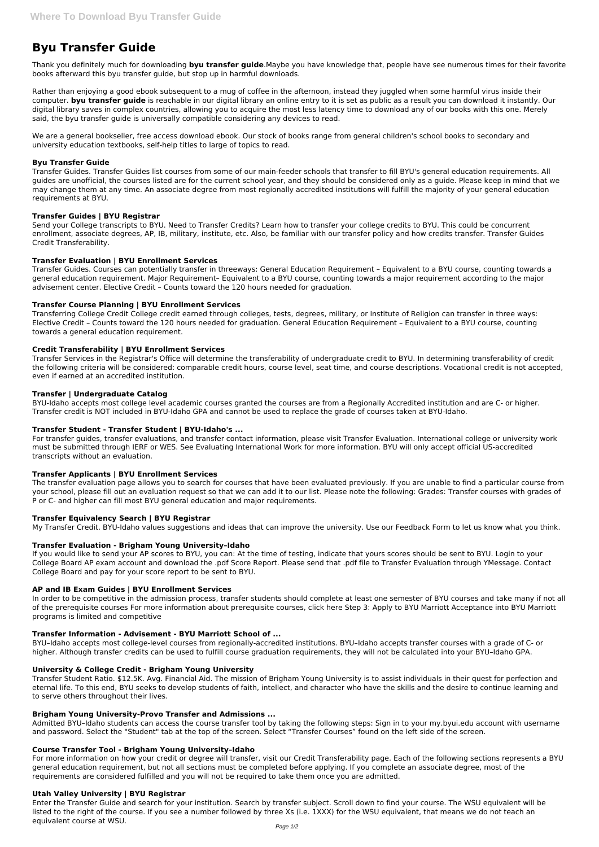# **Byu Transfer Guide**

Thank you definitely much for downloading **byu transfer guide**.Maybe you have knowledge that, people have see numerous times for their favorite books afterward this byu transfer guide, but stop up in harmful downloads.

Rather than enjoying a good ebook subsequent to a mug of coffee in the afternoon, instead they juggled when some harmful virus inside their computer. **byu transfer guide** is reachable in our digital library an online entry to it is set as public as a result you can download it instantly. Our digital library saves in complex countries, allowing you to acquire the most less latency time to download any of our books with this one. Merely said, the byu transfer guide is universally compatible considering any devices to read.

We are a general bookseller, free access download ebook. Our stock of books range from general children's school books to secondary and university education textbooks, self-help titles to large of topics to read.

## **Byu Transfer Guide**

Transfer Guides. Transfer Guides list courses from some of our main-feeder schools that transfer to fill BYU's general education requirements. All guides are unofficial, the courses listed are for the current school year, and they should be considered only as a guide. Please keep in mind that we may change them at any time. An associate degree from most regionally accredited institutions will fulfill the majority of your general education requirements at BYU.

# **Transfer Guides | BYU Registrar**

Send your College transcripts to BYU. Need to Transfer Credits? Learn how to transfer your college credits to BYU. This could be concurrent enrollment, associate degrees, AP, IB, military, institute, etc. Also, be familiar with our transfer policy and how credits transfer. Transfer Guides Credit Transferability.

# **Transfer Evaluation | BYU Enrollment Services**

Transfer Guides. Courses can potentially transfer in threeways: General Education Requirement – Equivalent to a BYU course, counting towards a general education requirement. Major Requirement– Equivalent to a BYU course, counting towards a major requirement according to the major advisement center. Elective Credit – Counts toward the 120 hours needed for graduation.

# **Transfer Course Planning | BYU Enrollment Services**

Transferring College Credit College credit earned through colleges, tests, degrees, military, or Institute of Religion can transfer in three ways: Elective Credit – Counts toward the 120 hours needed for graduation. General Education Requirement – Equivalent to a BYU course, counting towards a general education requirement.

## **Credit Transferability | BYU Enrollment Services**

Transfer Services in the Registrar's Office will determine the transferability of undergraduate credit to BYU. In determining transferability of credit the following criteria will be considered: comparable credit hours, course level, seat time, and course descriptions. Vocational credit is not accepted, even if earned at an accredited institution.

## **Transfer | Undergraduate Catalog**

BYU-Idaho accepts most college level academic courses granted the courses are from a Regionally Accredited institution and are C- or higher. Transfer credit is NOT included in BYU-Idaho GPA and cannot be used to replace the grade of courses taken at BYU-Idaho.

## **Transfer Student - Transfer Student | BYU-Idaho's ...**

For transfer guides, transfer evaluations, and transfer contact information, please visit Transfer Evaluation. International college or university work must be submitted through IERF or WES. See Evaluating International Work for more information. BYU will only accept official US-accredited transcripts without an evaluation.

## **Transfer Applicants | BYU Enrollment Services**

The transfer evaluation page allows you to search for courses that have been evaluated previously. If you are unable to find a particular course from your school, please fill out an evaluation request so that we can add it to our list. Please note the following: Grades: Transfer courses with grades of P or C- and higher can fill most BYU general education and major requirements.

## **Transfer Equivalency Search | BYU Registrar**

My Transfer Credit. BYU-Idaho values suggestions and ideas that can improve the university. Use our Feedback Form to let us know what you think.

## **Transfer Evaluation - Brigham Young University–Idaho**

If you would like to send your AP scores to BYU, you can: At the time of testing, indicate that yours scores should be sent to BYU. Login to your College Board AP exam account and download the .pdf Score Report. Please send that .pdf file to Transfer Evaluation through YMessage. Contact College Board and pay for your score report to be sent to BYU.

## **AP and IB Exam Guides | BYU Enrollment Services**

In order to be competitive in the admission process, transfer students should complete at least one semester of BYU courses and take many if not all of the prerequisite courses For more information about prerequisite courses, click here Step 3: Apply to BYU Marriott Acceptance into BYU Marriott programs is limited and competitive

## **Transfer Information - Advisement - BYU Marriott School of ...**

BYU–Idaho accepts most college-level courses from regionally-accredited institutions. BYU–Idaho accepts transfer courses with a grade of C- or higher. Although transfer credits can be used to fulfill course graduation requirements, they will not be calculated into your BYU–Idaho GPA.

#### **University & College Credit - Brigham Young University**

Transfer Student Ratio. \$12.5K. Avg. Financial Aid. The mission of Brigham Young University is to assist individuals in their quest for perfection and eternal life. To this end, BYU seeks to develop students of faith, intellect, and character who have the skills and the desire to continue learning and to serve others throughout their lives.

#### **Brigham Young University-Provo Transfer and Admissions ...**

Admitted BYU–Idaho students can access the course transfer tool by taking the following steps: Sign in to your my.byui.edu account with username and password. Select the "Student" tab at the top of the screen. Select "Transfer Courses" found on the left side of the screen.

#### **Course Transfer Tool - Brigham Young University–Idaho**

For more information on how your credit or degree will transfer, visit our Credit Transferability page. Each of the following sections represents a BYU general education requirement, but not all sections must be completed before applying. If you complete an associate degree, most of the requirements are considered fulfilled and you will not be required to take them once you are admitted.

#### **Utah Valley University | BYU Registrar**

Enter the Transfer Guide and search for your institution. Search by transfer subject. Scroll down to find your course. The WSU equivalent will be listed to the right of the course. If you see a number followed by three Xs (i.e. 1XXX) for the WSU equivalent, that means we do not teach an equivalent course at WSU.